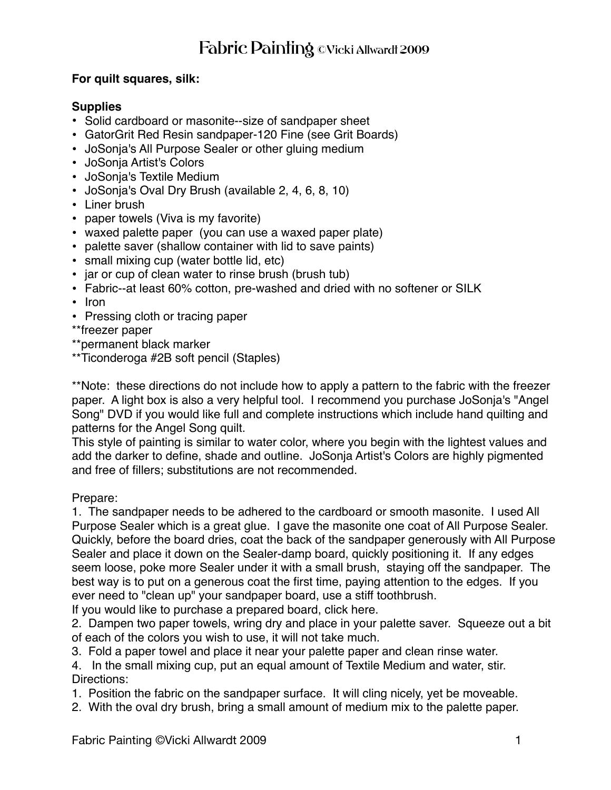## **For quilt squares, silk:**

## **Supplies**

- Solid cardboard or masonite--size of sandpaper sheet
- GatorGrit Red Resin sandpaper-120 Fine (see Grit Boards)
- JoSonja's All Purpose Sealer or other gluing medium
- JoSonja Artist's Colors
- JoSonja's Textile Medium
- JoSonja's Oval Dry Brush (available 2, 4, 6, 8, 10)
- Liner brush
- paper towels (Viva is my favorite)
- waxed palette paper (you can use a waxed paper plate)
- palette saver (shallow container with lid to save paints)
- small mixing cup (water bottle lid, etc)
- jar or cup of clean water to rinse brush (brush tub)
- Fabric--at least 60% cotton, pre-washed and dried with no softener or SILK
- Iron
- Pressing cloth or tracing paper
- \*\*freezer paper
- \*\*permanent black marker
- \*\*Ticonderoga #2B soft pencil (Staples)

\*\*Note: these directions do not include how to apply a pattern to the fabric with the freezer paper. A light box is also a very helpful tool. I recommend you purchase JoSonja's "Angel Song" DVD if you would like full and complete instructions which include hand quilting and patterns for the Angel Song quilt.

This style of painting is similar to water color, where you begin with the lightest values and add the darker to define, shade and outline. JoSonja Artist's Colors are highly pigmented and free of fillers; substitutions are not recommended.

## Prepare:

1. The sandpaper needs to be adhered to the cardboard or smooth masonite. I used All Purpose Sealer which is a great glue. I gave the masonite one coat of All Purpose Sealer. Quickly, before the board dries, coat the back of the sandpaper generously with All Purpose Sealer and place it down on the Sealer-damp board, quickly positioning it. If any edges seem loose, poke more Sealer under it with a small brush, staying off the sandpaper. The best way is to put on a generous coat the first time, paying attention to the edges. If you ever need to "clean up" your sandpaper board, use a stiff toothbrush.

If you would like to purchase a prepared board, click here.

2. Dampen two paper towels, wring dry and place in your palette saver. Squeeze out a bit of each of the colors you wish to use, it will not take much.

3. Fold a paper towel and place it near your palette paper and clean rinse water.

4. In the small mixing cup, put an equal amount of Textile Medium and water, stir. Directions:

- 1. Position the fabric on the sandpaper surface. It will cling nicely, yet be moveable.
- 2. With the oval dry brush, bring a small amount of medium mix to the palette paper.